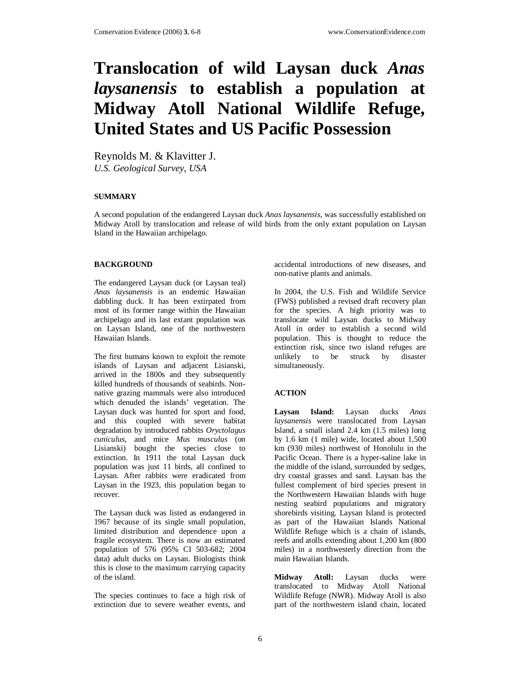# **Translocation of wild Laysan duck** *Anas laysanensis* **to establish a population at Midway Atoll National Wildlife Refuge, United States and US Pacific Possession**

Reynolds M. & Klavitter J. *U.S. Geological Survey, USA* 

### **SUMMARY**

A second population of the endangered Laysan duck *Anas laysanensis*, was successfully established on Midway Atoll by translocation and release of wild birds from the only extant population on Laysan Island in the Hawaiian archipelago.

#### **BACKGROUND**

The endangered Laysan duck (or Laysan teal) *Anas laysanensis* is an endemic Hawaiian dabbling duck. It has been extirpated from most of its former range within the Hawaiian archipelago and its last extant population was on Laysan Island, one of the northwestern Hawaiian Islands.

The first humans known to exploit the remote islands of Laysan and adjacent Lisianski, arrived in the 1800s and they subsequently killed hundreds of thousands of seabirds. Nonnative grazing mammals were also introduced which denuded the islands' vegetation. The Laysan duck was hunted for sport and food, and this coupled with severe habitat degradation by introduced rabbits *Oryctolagus cuniculus*, and mice *Mus musculus* (on Lisianski) bought the species close to extinction. In 1911 the total Laysan duck population was just 11 birds, all confined to Laysan. After rabbits were eradicated from Laysan in the 1923, this population began to recover.

The Laysan duck was listed as endangered in 1967 because of its single small population, limited distribution and dependence upon a fragile ecosystem. There is now an estimated population of 576 (95% CI 503-682; 2004 data) adult ducks on Laysan. Biologists think this is close to the maximum carrying capacity of the island.

The species continues to face a high risk of extinction due to severe weather events, and

accidental introductions of new diseases, and non-native plants and animals.

In 2004, the U.S. Fish and Wildlife Service (FWS) published a revised draft recovery plan for the species. A high priority was to translocate wild Laysan ducks to Midway Atoll in order to establish a second wild population. This is thought to reduce the extinction risk, since two island refuges are unlikely to be struck by disaster simultaneously.

## **ACTION**

**Laysan Island:** Laysan ducks *Anas laysanensis* were translocated from Laysan Island, a small island 2.4 km (1.5 miles) long by 1.6 km (1 mile) wide, located about 1,500 km (930 miles) northwest of Honolulu in the Pacific Ocean. There is a hyper-saline lake in the middle of the island, surrounded by sedges, dry coastal grasses and sand. Laysan has the fullest complement of bird species present in the Northwestern Hawaiian Islands with huge nesting seabird populations and migratory shorebirds visiting. Laysan Island is protected as part of the Hawaiian Islands National Wildlife Refuge which is a chain of islands, reefs and atolls extending about 1,200 km (800 miles) in a northwesterly direction from the main Hawaiian Islands.

**Midway Atoll:** Laysan ducks were translocated to Midway Atoll National Wildlife Refuge (NWR). Midway Atoll is also part of the northwestern island chain, located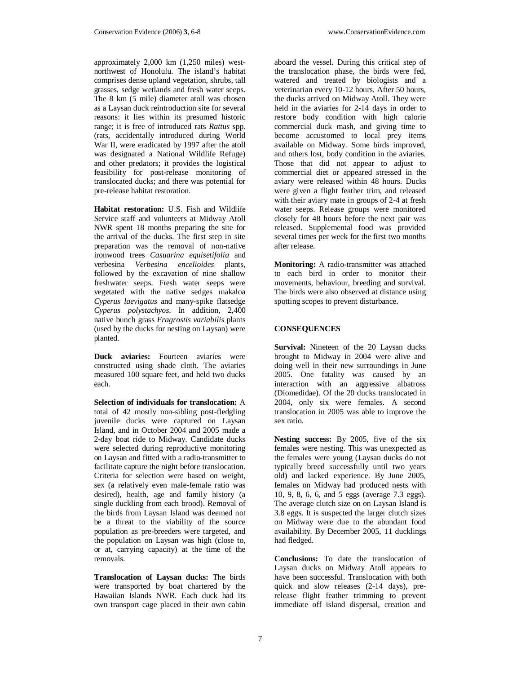approximately 2,000 km (1,250 miles) westnorthwest of Honolulu. The island's habitat comprises dense upland vegetation, shrubs, tall grasses, sedge wetlands and fresh water seeps. The 8 km (5 mile) diameter atoll was chosen as a Laysan duck reintroduction site for several reasons: it lies within its presumed historic range; it is free of introduced rats *Rattus* spp. (rats, accidentally introduced during World War II, were eradicated by 1997 after the atoll was designated a National Wildlife Refuge) and other predators; it provides the logistical feasibility for post-release monitoring of translocated ducks; and there was potential for pre-release habitat restoration.

**Habitat restoration:** U.S. Fish and Wildlife Service staff and volunteers at Midway Atoll NWR spent 18 months preparing the site for the arrival of the ducks. The first step in site preparation was the removal of non-native ironwood trees *Casuarina equisetifolia* and verbesina *Verbesina encelioides* plants, followed by the excavation of nine shallow freshwater seeps. Fresh water seeps were vegetated with the native sedges makaloa *Cyperus laevigatus* and many-spike flatsedge *Cyperus polystachyos*. In addition, 2,400 native bunch grass *Eragrostis variabilis* plants (used by the ducks for nesting on Laysan) were planted.

**Duck aviaries:** Fourteen aviaries were constructed using shade cloth. The aviaries measured 100 square feet, and held two ducks each.

**Selection of individuals for translocation:** A total of 42 mostly non-sibling post-fledgling juvenile ducks were captured on Laysan Island, and in October 2004 and 2005 made a 2-day boat ride to Midway. Candidate ducks were selected during reproductive monitoring on Laysan and fitted with a radio-transmitter to facilitate capture the night before translocation. Criteria for selection were based on weight, sex (a relatively even male-female ratio was desired), health, age and family history (a single duckling from each brood). Removal of the birds from Laysan Island was deemed not be a threat to the viability of the source population as pre-breeders were targeted, and the population on Laysan was high (close to, or at, carrying capacity) at the time of the removals.

**Translocation of Laysan ducks:** The birds were transported by boat chartered by the Hawaiian Islands NWR. Each duck had its own transport cage placed in their own cabin

aboard the vessel. During this critical step of the translocation phase, the birds were fed, watered and treated by biologists and a veterinarian every 10-12 hours. After 50 hours, the ducks arrived on Midway Atoll. They were held in the aviaries for 2-14 days in order to restore body condition with high calorie commercial duck mash, and giving time to become accustomed to local prey items available on Midway. Some birds improved, and others lost, body condition in the aviaries. Those that did not appear to adjust to commercial diet or appeared stressed in the aviary were released within 48 hours. Ducks were given a flight feather trim, and released with their aviary mate in groups of 2-4 at fresh water seeps. Release groups were monitored closely for 48 hours before the next pair was released. Supplemental food was provided several times per week for the first two months after release.

**Monitoring:** A radio-transmitter was attached to each bird in order to monitor their movements, behaviour, breeding and survival. The birds were also observed at distance using spotting scopes to prevent disturbance.

# **CONSEQUENCES**

**Survival:** Nineteen of the 20 Laysan ducks brought to Midway in 2004 were alive and doing well in their new surroundings in June 2005. One fatality was caused by an interaction with an aggressive albatross (Diomedidae). Of the 20 ducks translocated in 2004, only six were females. A second translocation in 2005 was able to improve the sex ratio.

**Nesting success:** By 2005, five of the six females were nesting. This was unexpected as the females were young (Laysan ducks do not typically breed successfully until two years old) and lacked experience. By June 2005, females on Midway had produced nests with 10, 9, 8, 6, 6, and 5 eggs (average 7.3 eggs). The average clutch size on on Laysan Island is 3.8 eggs. It is suspected the larger clutch sizes on Midway were due to the abundant food availability. By December 2005, 11 ducklings had fledged.

**Conclusions:** To date the translocation of Laysan ducks on Midway Atoll appears to have been successful. Translocation with both quick and slow releases (2-14 days), prerelease flight feather trimming to prevent immediate off island dispersal, creation and